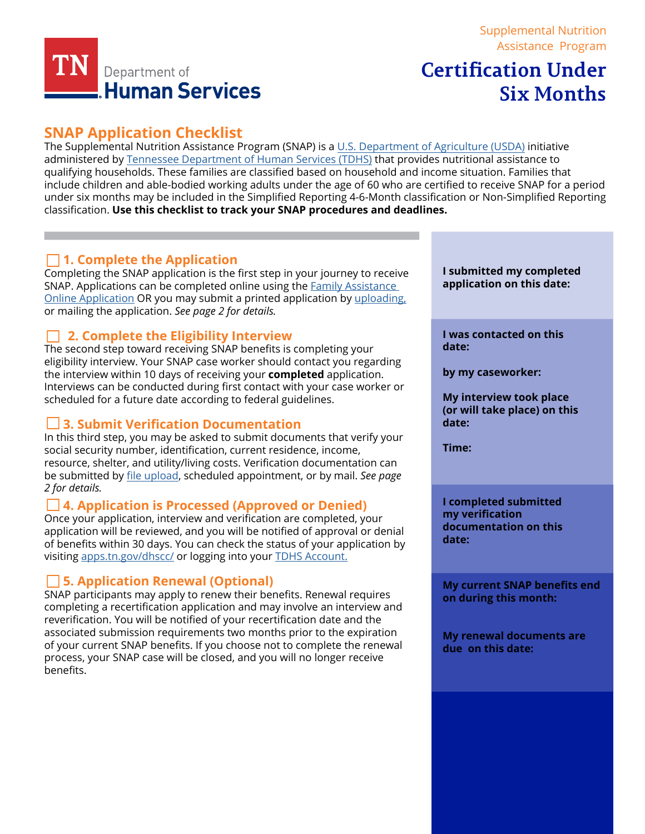

### [Supplemental Nutrition](https://www.tn.gov/humanservices/for-families/supplemental-nutrition-assistance-program-snap.html) [Assistance Program](https://www.tn.gov/humanservices/for-families/supplemental-nutrition-assistance-program-snap.html)

# **Certification Under Six Months**

## **SNAP Application Checklist**

The Supplemental Nutrition Assistance Program (SNAP) is a [U.S. Department of Agriculture \(USDA\)](https://www.fns.usda.gov/) initiative administered by [Tennessee Department of Human Services \(TDHS\)](https://www.tn.gov/content/tn/humanservices.html) that provides nutritional assistance to qualifying households. These families are classified based on household and income situation. Families that include children and able-bodied working adults under the age of 60 who are certified to receive SNAP for a period [under six months may be included in the Simplified Reporting 4-6-Month classification or Non-Simplified Reporting](https://www.fns.usda.gov/)  classification. **Use this checklist to track your SNAP procedures and deadlines.**

## **1. Complete the Application**

Completing the SNAP application is the first step in your journey to receive SNAP. Applications can be completed online using the [Family Assistance](https://faonlineapp.dhs.tn.gov/)  [Online Application](https://faonlineapp.dhs.tn.gov/) OR you may submit a printed application by [uploading,](https://fileupload.dhs.tn.gov/) or mailing the application. *See page 2 for details.* 

## **2. Complete the Eligibility Interview**

The second step toward receiving SNAP benefits is completing your eligibility interview. Your SNAP case worker should contact you regarding the interview within 10 days of receiving your **completed** application. Interviews can be conducted during first contact with your case worker or scheduled for a future date according to federal guidelines.

## **3. Submit Verification Documentation**

In this third step, you may be asked to submit documents that verify your social security number, identification, current residence, income, resource, shelter, and utility/living costs. Verification documentation can be submit[ted by](https://fileupload.dhs.tn.gov/) file [upload](https://fileupload.dhs.tn.gov/), scheduled appointment, or by mail. *See page 2 for details.*

### **4. Application is Processed (Approved or Denied)**

Once your application, interview and verification are completed, your application will be reviewed, and you will be notified of approval or denial of benefits within 30 days. You can check the status of your application by visiting [apps.tn.gov/dhscc/](https://apps.tn.gov/dhscc/) or logging into your [TDHS Account.](https://apps.tn.gov/dhsaccess/)

## **5. Application Renewal (Optional)**

SNAP participants may apply to renew their benefits. Renewal requires completing a recertification application and may involve an interview and reverification. You will be notified of your recertification date and the associated submission requirements two months prior to the expiration of your current SNAP benefits. If you choose not to complete the renewal process, your SNAP case will be closed, and you will no longer receive benefits.

**I submitted my completed application on this date:** 

**I was contacted on this date:** 

**by my caseworker:**

**My interview took place (or will take place) on this date:** 

**Time:** 

**I completed submitted my verification documentation on this date:** 

**My current SNAP benefits end on during this month:** 

**My renewal documents are due on this date:**